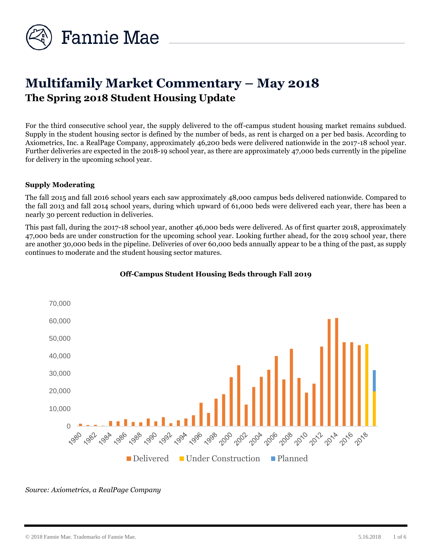

# **Multifamily Market Commentary – May 2018 The Spring 2018 Student Housing Update**

For the third consecutive school year, the supply delivered to the off-campus student housing market remains subdued. Supply in the student housing sector is defined by the number of beds, as rent is charged on a per bed basis. According to Axiometrics, Inc. a RealPage Company, approximately 46,200 beds were delivered nationwide in the 2017-18 school year. Further deliveries are expected in the 2018-19 school year, as there are approximately 47,000 beds currently in the pipeline for delivery in the upcoming school year.

## **Supply Moderating**

The fall 2015 and fall 2016 school years each saw approximately 48,000 campus beds delivered nationwide. Compared to the fall 2013 and fall 2014 school years, during which upward of 61,000 beds were delivered each year, there has been a nearly 30 percent reduction in deliveries.

This past fall, during the 2017-18 school year, another 46,000 beds were delivered. As of first quarter 2018, approximately 47,000 beds are under construction for the upcoming school year. Looking further ahead, for the 2019 school year, there are another 30,000 beds in the pipeline. Deliveries of over 60,000 beds annually appear to be a thing of the past, as supply continues to moderate and the student housing sector matures.



## **Off-Campus Student Housing Beds through Fall 2019**

*Source: Axiometrics, a RealPage Company*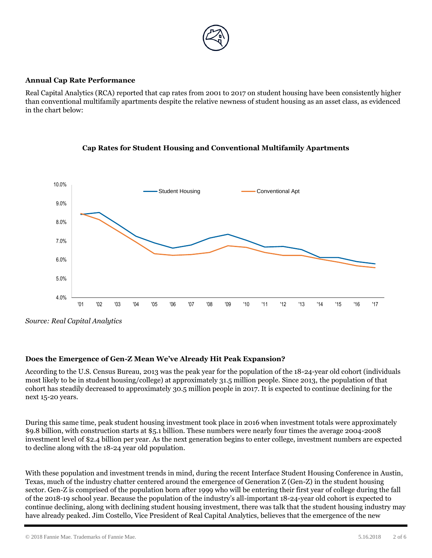

# **Annual Cap Rate Performance**

Real Capital Analytics (RCA) reported that cap rates from 2001 to 2017 on student housing have been consistently higher than conventional multifamily apartments despite the relative newness of student housing as an asset class, as evidenced in the chart below:





*Source: Real Capital Analytics*

# **Does the Emergence of Gen-Z Mean We've Already Hit Peak Expansion?**

According to the U.S. Census Bureau, 2013 was the peak year for the population of the 18-24-year old cohort (individuals most likely to be in student housing/college) at approximately 31.5 million people. Since 2013, the population of that cohort has steadily decreased to approximately 30.5 million people in 2017. It is expected to continue declining for the next 15-20 years.

During this same time, peak student housing investment took place in 2016 when investment totals were approximately \$9.8 billion, with construction starts at \$5.1 billion. These numbers were nearly four times the average 2004-2008 investment level of \$2.4 billion per year. As the next generation begins to enter college, investment numbers are expected to decline along with the 18-24 year old population.

With these population and investment trends in mind, during the recent Interface Student Housing Conference in Austin, Texas, much of the industry chatter centered around the emergence of Generation Z (Gen-Z) in the student housing sector. Gen-Z is comprised of the population born after 1999 who will be entering their first year of college during the fall of the 2018-19 school year. Because the population of the industry's all-important 18-24-year old cohort is expected to continue declining, along with declining student housing investment, there was talk that the student housing industry may have already peaked. Jim Costello, Vice President of Real Capital Analytics, believes that the emergence of the new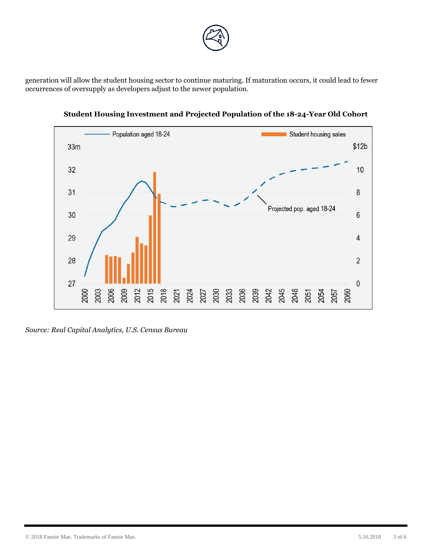

generation will allow the student housing sector to continue maturing. If maturation occurs, it could lead to fewer occurrences of oversupply as developers adjust to the newer population.



**Student Housing Investment and Projected Population of the 18-24-Year Old Cohort**

*Source: Real Capital Analytics, U.S. Census Bureau*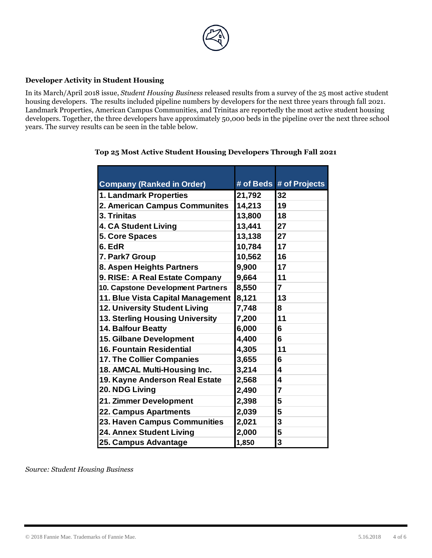

## **Developer Activity in Student Housing**

In its March/April 2018 issue, *Student Housing Business* released results from a survey of the 25 most active student housing developers. The results included pipeline numbers by developers for the next three years through fall 2021. Landmark Properties, American Campus Communities, and Trinitas are reportedly the most active student housing developers. Together, the three developers have approximately 50,000 beds in the pipeline over the next three school years. The survey results can be seen in the table below.

| <b>Company (Ranked in Order)</b>  |        | # of Beds # of Projects |
|-----------------------------------|--------|-------------------------|
| 1. Landmark Properties            | 21,792 | 32                      |
| 2. American Campus Communites     | 14,213 | 19                      |
| 3. Trinitas                       | 13,800 | 18                      |
| <b>4. CA Student Living</b>       | 13,441 | 27                      |
| <b>5. Core Spaces</b>             | 13,138 | 27                      |
| 6. EdR                            | 10,784 | 17                      |
| 7. Park7 Group                    | 10,562 | 16                      |
| 8. Aspen Heights Partners         | 9,900  | 17                      |
| 9. RISE: A Real Estate Company    | 9,664  | 11                      |
| 10. Capstone Development Partners | 8,550  | $\overline{7}$          |
| 11. Blue Vista Capital Management | 8,121  | 13                      |
| 12. University Student Living     | 7,748  | 8                       |
| 13. Sterling Housing University   | 7,200  | 11                      |
| 14. Balfour Beatty                | 6,000  | 6                       |
| <b>15. Gilbane Development</b>    | 4,400  | 6                       |
| <b>16. Fountain Residential</b>   | 4,305  | 11                      |
| 17. The Collier Companies         | 3,655  | 6                       |
| 18. AMCAL Multi-Housing Inc.      | 3,214  | 4                       |
| 19. Kayne Anderson Real Estate    | 2,568  | 4                       |
| 20. NDG Living                    | 2,490  | $\overline{7}$          |
| 21. Zimmer Development            | 2,398  | 5                       |
| 22. Campus Apartments             | 2,039  | 5                       |
| 23. Haven Campus Communities      | 2,021  | 3                       |
| 24. Annex Student Living          | 2,000  | 5                       |
| 25. Campus Advantage              | 1,850  | 3                       |

# **Top 25 Most Active Student Housing Developers Through Fall 2021**

*Source: Student Housing Business*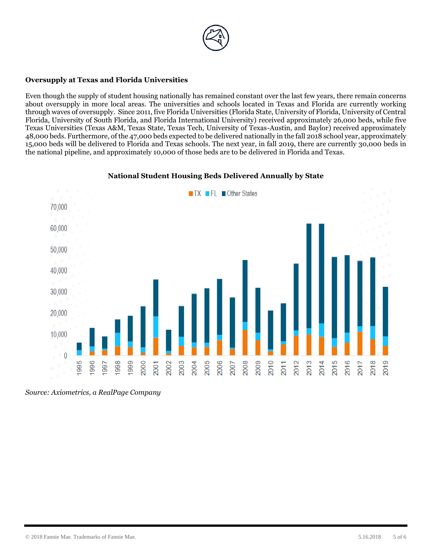

# **Oversupply at Texas and Florida Universities**

Even though the supply of student housing nationally has remained constant over the last few years, there remain concerns about oversupply in more local areas. The universities and schools located in Texas and Florida are currently working through waves of oversupply. Since 2011, five Florida Universities (Florida State, University of Florida, University of Central Florida, University of South Florida, and Florida International University) received approximately 26,000 beds, while five Texas Universities (Texas A&M, Texas State, Texas Tech, University of Texas-Austin, and Baylor) received approximately 48,000 beds. Furthermore, of the 47,000 beds expected to be delivered nationally in the fall 2018 school year, approximately 15,000 beds will be delivered to Florida and Texas schools. The next year, in fall 2019, there are currently 30,000 beds in the national pipeline, and approximately 10,000 of those beds are to be delivered in Florida and Texas.



### **National Student Housing Beds Delivered Annually by State**

*Source: Axiometrics, a RealPage Company*